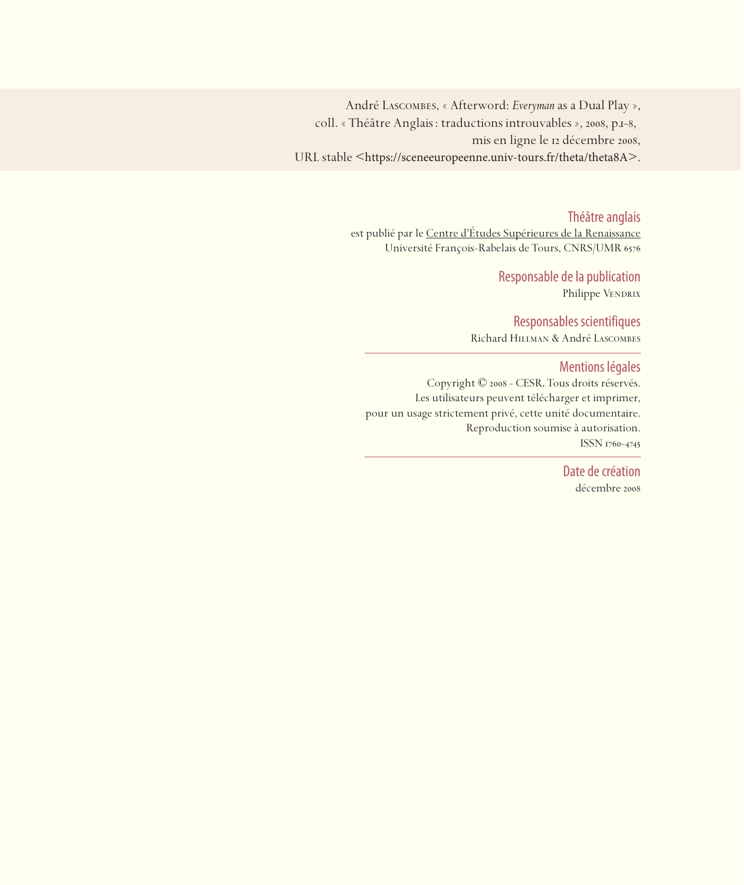André Lascombes, « Afterword: *Everyman*as a Dual Play », coll. « Théâtre Anglais : traductions introuvables », 2008, p.1-8, mis en ligne le 12 décembre 2008, URL stable <https://sceneeuropeenne.univ-tours.fr/theta/theta8A>.

Théâtre anglais

est publié par le Centre d'études Supérieures de la Renaissance Université François-Rabelais de Tours, CNRS/UMR

> Responsable de la publication Philippe VENDRIX

Responsables scientifiques Richard Hillman & André Lascombes

Mentions légales

Copyright © 2008 - CESR. Tous droits réservés. Les utilisateurs peuvent télécharger et imprimer, pour un usage strictement privé, cette unité documentaire. Reproduction soumise à autorisation. ISSN 1760-4745

> Date de création décembre 2008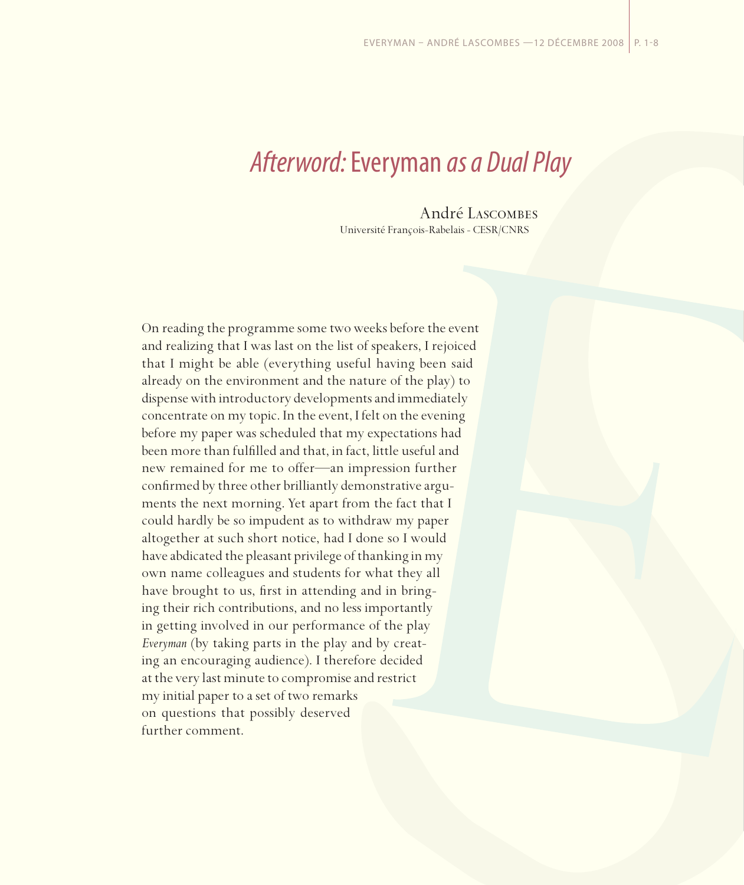## *Afterword:* Everyman *as a Dual Play*

André Lascombes Université François-Rabelais - CESR/CNRS

On reading the programme some two weeks before the event and realizing that I was last on the list of speakers, I rejoiced that I might be able (everything useful having been said already on the environment and the nature of the play) to dispense with introductory developments and immediately concentrate on my topic. In the event, I felt on the evening before my paper was scheduled that my expectations had been more than fulfilled and that, in fact, little useful and new remained for me to offer—an impression further confirmed by three other brilliantly demonstrative arguments the next morning. Yet apart from the fact that I could hardly be so impudent as to withdraw my paper altogether at such short notice, had I done so I would have abdicated the pleasant privilege of thanking in my own name colleagues and students for what they all have brought to us, first in attending and in bringing their rich contributions, and no less importantly in getting involved in our performance of the play *Everyman* (by taking parts in the play and by creating an encouraging audience). I therefore decided at the very last minute to compromise and restrict my initial paper to a set of two remarks on questions that possibly deserved further comment.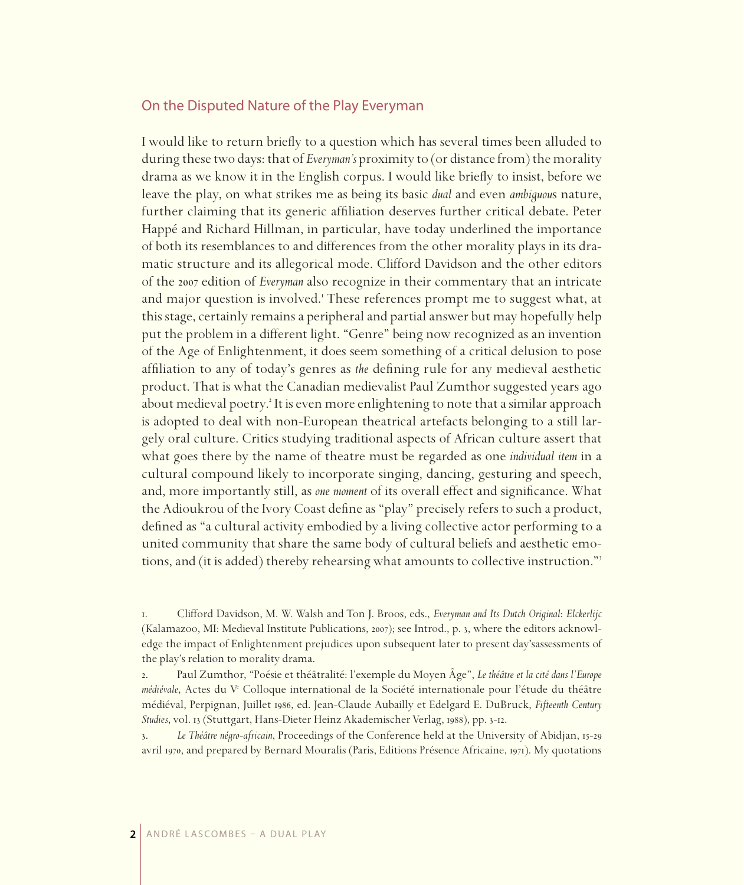## On the Disputed Nature of the Play Everyman

I would like to return briefly to a question which has several times been alluded to during these two days: that of *Everyman's* proximity to (or distance from) the morality drama as we know it in the English corpus. I would like briefly to insist, before we leave the play, on what strikes me as being its basic *dual* and even *ambiguou*s nature, further claiming that its generic affiliation deserves further critical debate. Peter Happé and Richard Hillman, in particular, have today underlined the importance of both its resemblances to and differences from the other morality plays in its dramatic structure and its allegorical mode. Clifford Davidson and the other editors of the edition of *Everyman* also recognize in their commentary that an intricate and major question is involved.<sup>1</sup> These references prompt me to suggest what, at this stage, certainly remains a peripheral and partial answer but may hopefully help put the problem in a different light. "Genre" being now recognized as an invention of the Age of Enlightenment, it does seem something of a critical delusion to pose affiliation to any of today's genres as *the* defining rule for any medieval aesthetic product. That is what the Canadian medievalist Paul Zumthor suggested years ago about medieval poetry.<sup>2</sup> It is even more enlightening to note that a similar approach is adopted to deal with non-European theatrical artefacts belonging to a still largely oral culture. Critics studying traditional aspects of African culture assert that what goes there by the name of theatre must be regarded as one *individual item* in a cultural compound likely to incorporate singing, dancing, gesturing and speech, and, more importantly still, as *one moment* of its overall effect and significance. What the Adioukrou of the Ivory Coast define as "play" precisely refers to such a product, defined as "a cultural activity embodied by a living collective actor performing to a united community that share the same body of cultural beliefs and aesthetic emotions, and (it is added) thereby rehearsing what amounts to collective instruction."

<sup>.</sup> Clifford Davidson, M. W. Walsh and Ton J. Broos, eds., *Everyman and Its Dutch Original*: *Elckerlijc* (Kalamazoo, MI: Medieval Institute Publications, 2007); see Introd., p. 3, where the editors acknowledge the impact of Enlightenment prejudices upon subsequent later to present day'sassessments of the play's relation to morality drama.

<sup>.</sup> Paul Zumthor, "Poésie et théâtralité: l'exemple du Moyen Âge", *Le théâtre et la cité dans l'Europe médiévale*, Actes du Ve Colloque international de la Société internationale pour l'étude du théâtre médiéval, Perpignan, Juillet , ed. Jean-Claude Aubailly et Edelgard E. DuBruck, *Fifteenth Century*  Studies, vol. 13 (Stuttgart, Hans-Dieter Heinz Akademischer Verlag, 1988), pp. 3-12.

<sup>3.</sup> Le Théâtre négro-africain, Proceedings of the Conference held at the University of Abidjan, 15-29 avril 1970, and prepared by Bernard Mouralis (Paris, Editions Présence Africaine, 1971). My quotations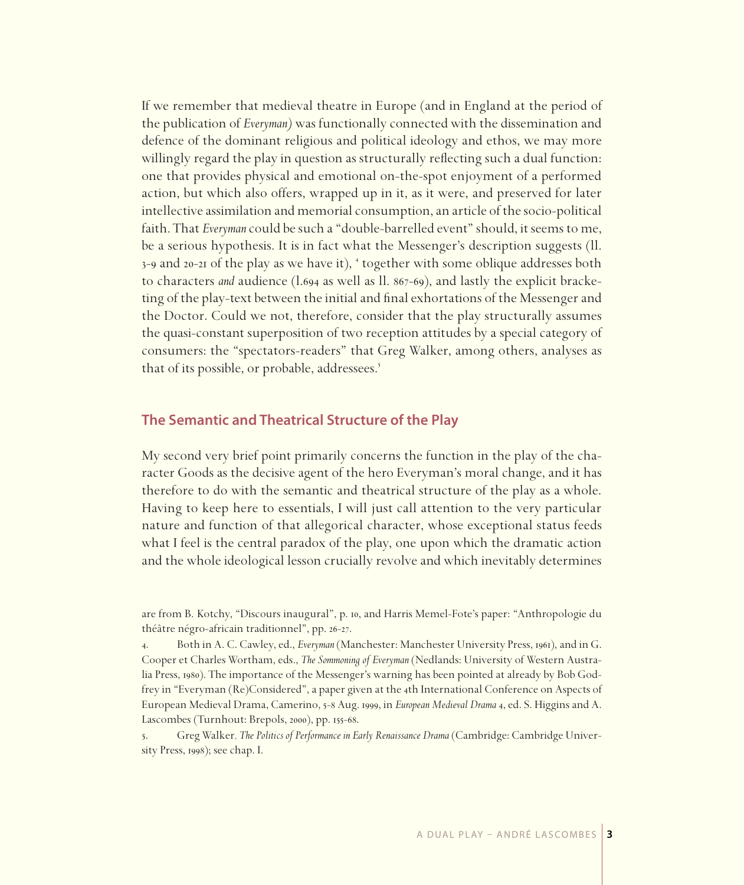If we remember that medieval theatre in Europe (and in England at the period of the publication of *Everyman)* was functionally connected with the dissemination and defence of the dominant religious and political ideology and ethos, we may more willingly regard the play in question as structurally reflecting such a dual function: one that provides physical and emotional on-the-spot enjoyment of a performed action, but which also offers, wrapped up in it, as it were, and preserved for later intellective assimilation and memorial consumption, an article of the socio-political faith. That *Everyman* could be such a "double-barrelled event" should, it seems to me, be a serious hypothesis. It is in fact what the Messenger's description suggests (ll. 3-9 and 20-21 of the play as we have it), <sup>4</sup> together with some oblique addresses both to characters *and* audience (1.694 as well as ll. 867-69), and lastly the explicit bracketing of the play-text between the initial and final exhortations of the Messenger and the Doctor. Could we not, therefore, consider that the play structurally assumes the quasi-constant superposition of two reception attitudes by a special category of consumers: the "spectators-readers" that Greg Walker, among others, analyses as that of its possible, or probable, addressees.

## **The Semantic and Theatrical Structure of the Play**

My second very brief point primarily concerns the function in the play of the character Goods as the decisive agent of the hero Everyman's moral change, and it has therefore to do with the semantic and theatrical structure of the play as a whole. Having to keep here to essentials, I will just call attention to the very particular nature and function of that allegorical character, whose exceptional status feeds what I feel is the central paradox of the play, one upon which the dramatic action and the whole ideological lesson crucially revolve and which inevitably determines

are from B. Kotchy, "Discours inaugural", p. 10, and Harris Memel-Fote's paper: "Anthropologie du théâtre négro-africain traditionnel", pp. 26-27.

<sup>4.</sup> Both in A. C. Cawley, ed., *Everyman* (Manchester: Manchester University Press, 1961), and in G. Cooper et Charles Wortham, eds., *The Sommoning of Everyman* (Nedlands: University of Western Australia Press, 1980). The importance of the Messenger's warning has been pointed at already by Bob Godfrey in "Everyman (Re)Considered", a paper given at the 4th International Conference on Aspects of European Medieval Drama, Camerino, 5-8 Aug. 1999, in *European Medieval Drama* 4, ed. S. Higgins and A. Lascombes (Turnhout: Brepols, 2000), pp. 155-68.

<sup>.</sup> Greg Walker*, The Politics of Performance in Early Renaissance Drama* (Cambridge: Cambridge University Press, 1998); see chap. I.